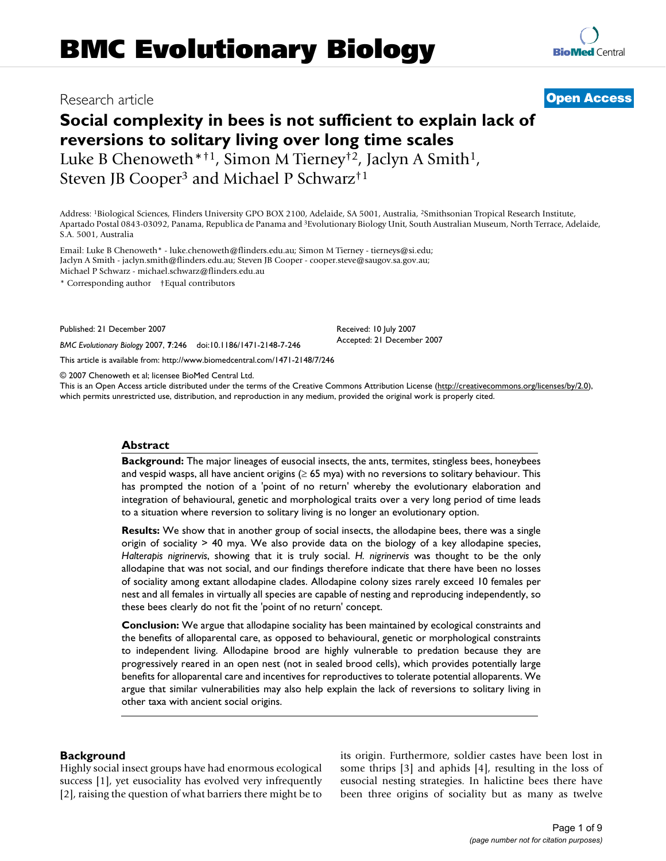## Research article **[Open Access](http://www.biomedcentral.com/info/about/charter/)**

# **Social complexity in bees is not sufficient to explain lack of reversions to solitary living over long time scales** Luke B Chenoweth\*†1, Simon M Tierney†2, Jaclyn A Smith<sup>1</sup>, Steven JB Cooper<sup>3</sup> and Michael P Schwarz<sup>†1</sup>

Address: 1Biological Sciences, Flinders University GPO BOX 2100, Adelaide, SA 5001, Australia, 2Smithsonian Tropical Research Institute, Apartado Postal 0843-03092, Panama, Republica de Panama and 3Evolutionary Biology Unit, South Australian Museum, North Terrace, Adelaide, S.A. 5001, Australia

Email: Luke B Chenoweth\* - luke.chenoweth@flinders.edu.au; Simon M Tierney - tierneys@si.edu; Jaclyn A Smith - jaclyn.smith@flinders.edu.au; Steven JB Cooper - cooper.steve@saugov.sa.gov.au; Michael P Schwarz - michael.schwarz@flinders.edu.au

\* Corresponding author †Equal contributors

Published: 21 December 2007

*BMC Evolutionary Biology* 2007, **7**:246 doi:10.1186/1471-2148-7-246

[This article is available from: http://www.biomedcentral.com/1471-2148/7/246](http://www.biomedcentral.com/1471-2148/7/246)

© 2007 Chenoweth et al; licensee BioMed Central Ltd.

This is an Open Access article distributed under the terms of the Creative Commons Attribution License [\(http://creativecommons.org/licenses/by/2.0\)](http://creativecommons.org/licenses/by/2.0), which permits unrestricted use, distribution, and reproduction in any medium, provided the original work is properly cited.

Received: 10 July 2007 Accepted: 21 December 2007

#### **Abstract**

**Background:** The major lineages of eusocial insects, the ants, termites, stingless bees, honeybees and vespid wasps, all have ancient origins  $(≥ 65$  mya) with no reversions to solitary behaviour. This has prompted the notion of a 'point of no return' whereby the evolutionary elaboration and integration of behavioural, genetic and morphological traits over a very long period of time leads to a situation where reversion to solitary living is no longer an evolutionary option.

**Results:** We show that in another group of social insects, the allodapine bees, there was a single origin of sociality > 40 mya. We also provide data on the biology of a key allodapine species, *Halterapis nigrinervis*, showing that it is truly social. *H. nigrinervis* was thought to be the only allodapine that was not social, and our findings therefore indicate that there have been no losses of sociality among extant allodapine clades. Allodapine colony sizes rarely exceed 10 females per nest and all females in virtually all species are capable of nesting and reproducing independently, so these bees clearly do not fit the 'point of no return' concept.

**Conclusion:** We argue that allodapine sociality has been maintained by ecological constraints and the benefits of alloparental care, as opposed to behavioural, genetic or morphological constraints to independent living. Allodapine brood are highly vulnerable to predation because they are progressively reared in an open nest (not in sealed brood cells), which provides potentially large benefits for alloparental care and incentives for reproductives to tolerate potential alloparents. We argue that similar vulnerabilities may also help explain the lack of reversions to solitary living in other taxa with ancient social origins.

#### **Background**

Highly social insect groups have had enormous ecological success [1], yet eusociality has evolved very infrequently [2], raising the question of what barriers there might be to its origin. Furthermore, soldier castes have been lost in some thrips [3] and aphids [4], resulting in the loss of eusocial nesting strategies. In halictine bees there have been three origins of sociality but as many as twelve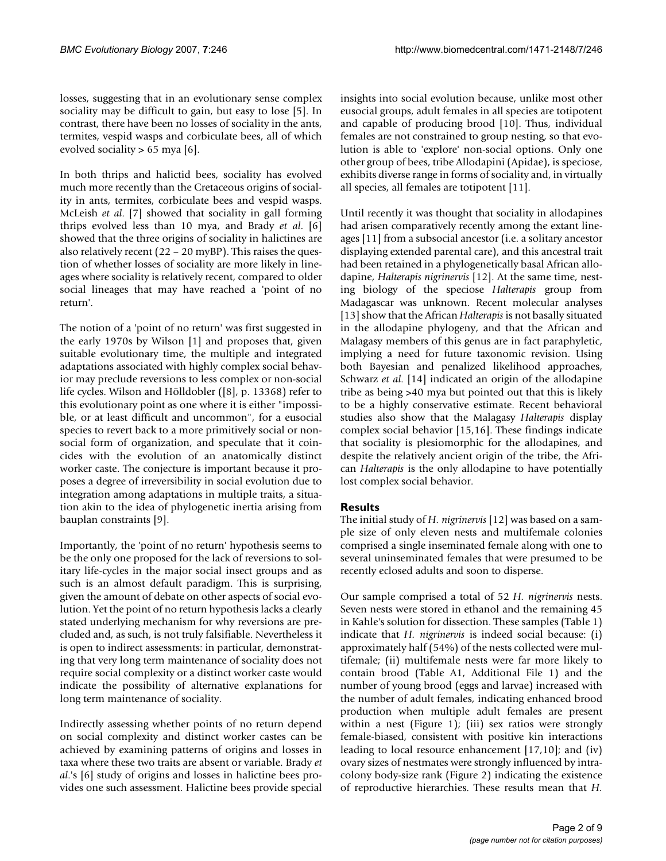losses, suggesting that in an evolutionary sense complex sociality may be difficult to gain, but easy to lose [5]. In contrast, there have been no losses of sociality in the ants, termites, vespid wasps and corbiculate bees, all of which evolved sociality > 65 mya [6].

In both thrips and halictid bees, sociality has evolved much more recently than the Cretaceous origins of sociality in ants, termites, corbiculate bees and vespid wasps. McLeish *et al*. [7] showed that sociality in gall forming thrips evolved less than 10 mya, and Brady *et al*. [6] showed that the three origins of sociality in halictines are also relatively recent (22 – 20 myBP). This raises the question of whether losses of sociality are more likely in lineages where sociality is relatively recent, compared to older social lineages that may have reached a 'point of no return'.

The notion of a 'point of no return' was first suggested in the early 1970s by Wilson [1] and proposes that, given suitable evolutionary time, the multiple and integrated adaptations associated with highly complex social behavior may preclude reversions to less complex or non-social life cycles. Wilson and Hölldobler ([8], p. 13368) refer to this evolutionary point as one where it is either "impossible, or at least difficult and uncommon", for a eusocial species to revert back to a more primitively social or nonsocial form of organization, and speculate that it coincides with the evolution of an anatomically distinct worker caste. The conjecture is important because it proposes a degree of irreversibility in social evolution due to integration among adaptations in multiple traits, a situation akin to the idea of phylogenetic inertia arising from bauplan constraints [9].

Importantly, the 'point of no return' hypothesis seems to be the only one proposed for the lack of reversions to solitary life-cycles in the major social insect groups and as such is an almost default paradigm. This is surprising, given the amount of debate on other aspects of social evolution. Yet the point of no return hypothesis lacks a clearly stated underlying mechanism for why reversions are precluded and, as such, is not truly falsifiable. Nevertheless it is open to indirect assessments: in particular, demonstrating that very long term maintenance of sociality does not require social complexity or a distinct worker caste would indicate the possibility of alternative explanations for long term maintenance of sociality.

Indirectly assessing whether points of no return depend on social complexity and distinct worker castes can be achieved by examining patterns of origins and losses in taxa where these two traits are absent or variable. Brady *et al*.'s [6] study of origins and losses in halictine bees provides one such assessment. Halictine bees provide special

insights into social evolution because, unlike most other eusocial groups, adult females in all species are totipotent and capable of producing brood [10]. Thus, individual females are not constrained to group nesting, so that evolution is able to 'explore' non-social options. Only one other group of bees, tribe Allodapini (Apidae), is speciose, exhibits diverse range in forms of sociality and, in virtually all species, all females are totipotent [11].

Until recently it was thought that sociality in allodapines had arisen comparatively recently among the extant lineages [11] from a subsocial ancestor (i.e. a solitary ancestor displaying extended parental care), and this ancestral trait had been retained in a phylogenetically basal African allodapine, *Halterapis nigrinervis* [12]. At the same time, nesting biology of the speciose *Halterapis* group from Madagascar was unknown. Recent molecular analyses [13] show that the African *Halterapis* is not basally situated in the allodapine phylogeny, and that the African and Malagasy members of this genus are in fact paraphyletic, implying a need for future taxonomic revision. Using both Bayesian and penalized likelihood approaches, Schwarz *et al*. [14] indicated an origin of the allodapine tribe as being >40 mya but pointed out that this is likely to be a highly conservative estimate. Recent behavioral studies also show that the Malagasy *Halterapis* display complex social behavior [15,16]. These findings indicate that sociality is plesiomorphic for the allodapines, and despite the relatively ancient origin of the tribe, the African *Halterapis* is the only allodapine to have potentially lost complex social behavior.

#### **Results**

The initial study of *H. nigrinervis* [12] was based on a sample size of only eleven nests and multifemale colonies comprised a single inseminated female along with one to several uninseminated females that were presumed to be recently eclosed adults and soon to disperse.

Our sample comprised a total of 52 *H. nigrinervis* nests. Seven nests were stored in ethanol and the remaining 45 in Kahle's solution for dissection. These samples (Table 1) indicate that *H. nigrinervis* is indeed social because: (i) approximately half (54%) of the nests collected were multifemale; (ii) multifemale nests were far more likely to contain brood (Table A1, Additional File 1) and the number of young brood (eggs and larvae) increased with the number of adult females, indicating enhanced brood production when multiple adult females are present within a nest (Figure 1); (iii) sex ratios were strongly female-biased, consistent with positive kin interactions leading to local resource enhancement [17,10]; and (iv) ovary sizes of nestmates were strongly influenced by intracolony body-size rank (Figure 2) indicating the existence of reproductive hierarchies. These results mean that *H.*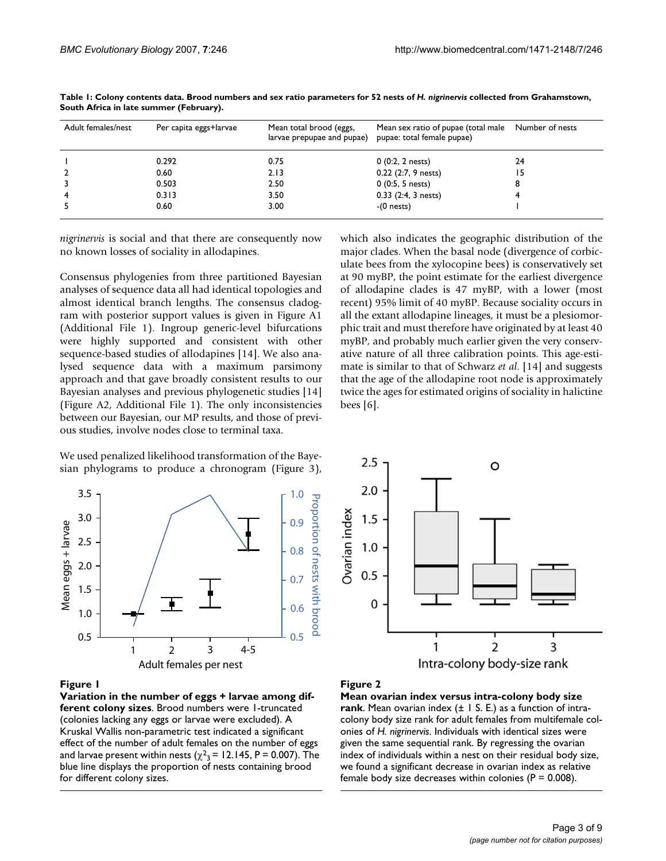| Adult females/nest | Per capita eggs+larvae | Mean total brood (eggs,<br>larvae prepupae and pupae) | Mean sex ratio of pupae (total male<br>pupae: total female pupae) | Number of nests |
|--------------------|------------------------|-------------------------------------------------------|-------------------------------------------------------------------|-----------------|
|                    | 0.292                  | 0.75                                                  | $0(0:2, 2 \text{ nests})$                                         | 24              |
|                    | 0.60                   | 2.13                                                  | 0.22 (2:7, 9 nests)                                               |                 |
|                    | 0.503                  | 2.50                                                  | $0(0:5, 5 \text{ nests})$                                         | 8               |
| 4                  | 0.313                  | 3.50                                                  | $0.33$ $(2:4, 3 \text{ nests})$                                   |                 |
|                    | 0.60                   | 3.00                                                  | $-(0$ nests)                                                      |                 |

**Table 1: Colony contents data. Brood numbers and sex ratio parameters for 52 nests of** *H. nigrinervis* **collected from Grahamstown, South Africa in late summer (February).**

*nigrinervis* is social and that there are consequently now no known losses of sociality in allodapines.

Consensus phylogenies from three partitioned Bayesian analyses of sequence data all had identical topologies and almost identical branch lengths. The consensus cladogram with posterior support values is given in Figure A1 (Additional File 1). Ingroup generic-level bifurcations were highly supported and consistent with other sequence-based studies of allodapines [14]. We also analysed sequence data with a maximum parsimony approach and that gave broadly consistent results to our Bayesian analyses and previous phylogenetic studies [14] (Figure A2, Additional File 1). The only inconsistencies between our Bayesian, our MP results, and those of previous studies, involve nodes close to terminal taxa.

We used penalized likelihood transformation of the Bayesian phylograms to produce a chronogram (Figure 3),



#### which also indicates the geographic distribution of the major clades. When the basal node (divergence of corbiculate bees from the xylocopine bees) is conservatively set at 90 myBP, the point estimate for the earliest divergence of allodapine clades is 47 myBP, with a lower (most recent) 95% limit of 40 myBP. Because sociality occurs in all the extant allodapine lineages, it must be a plesiomorphic trait and must therefore have originated by at least 40 myBP, and probably much earlier given the very conservative nature of all three calibration points. This age-estimate is similar to that of Schwarz *et al*. [14] and suggests that the age of the allodapine root node is approximately twice the ages for estimated origins of sociality in halictine bees [6].



#### **Figure 1**

**Variation in the number of eggs + larvae among different colony sizes**. Brood numbers were 1-truncated (colonies lacking any eggs or larvae were excluded). A Kruskal Wallis non-parametric test indicated a significant effect of the number of adult females on the number of eggs and larvae present within nests ( $\chi^2$ <sub>3</sub> = 12.145, P = 0.007). The blue line displays the proportion of nests containing brood for different colony sizes.

#### **Figure 2**

**Mean ovarian index versus intra-colony body size rank**. Mean ovarian index (± 1 S. E.) as a function of intracolony body size rank for adult females from multifemale colonies of *H. nigrinervis*. Individuals with identical sizes were given the same sequential rank. By regressing the ovarian index of individuals within a nest on their residual body size, we found a significant decrease in ovarian index as relative female body size decreases within colonies ( $P = 0.008$ ).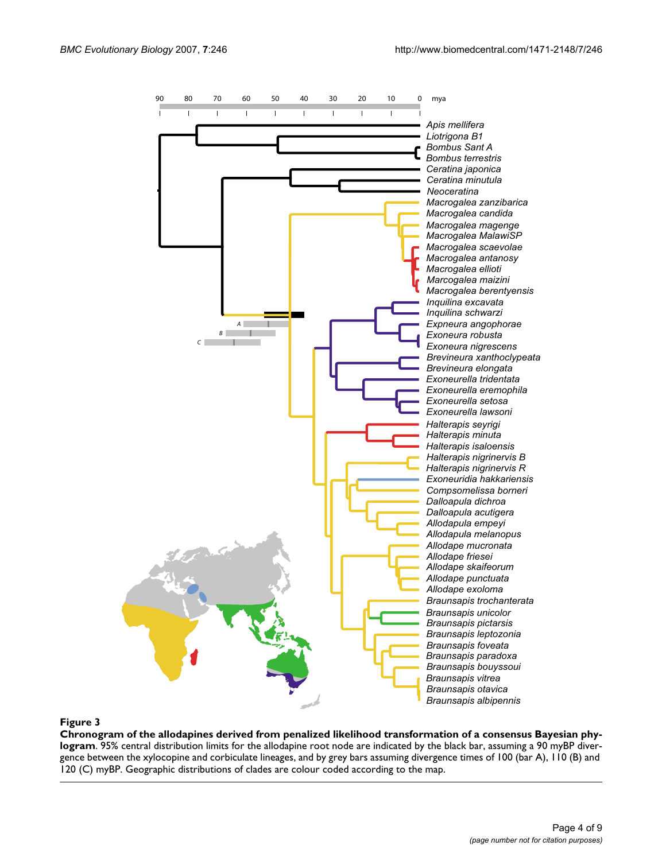

**Chronogram of the allodapines derived from penalized likelihood transformation of a consensus Bayesian phylogram**. 95% central distribution limits for the allodapine root node are indicated by the black bar, assuming a 90 myBP divergence between the xylocopine and corbiculate lineages, and by grey bars assuming divergence times of 100 (bar A), 110 (B) and 120 (C) myBP. Geographic distributions of clades are colour coded according to the map.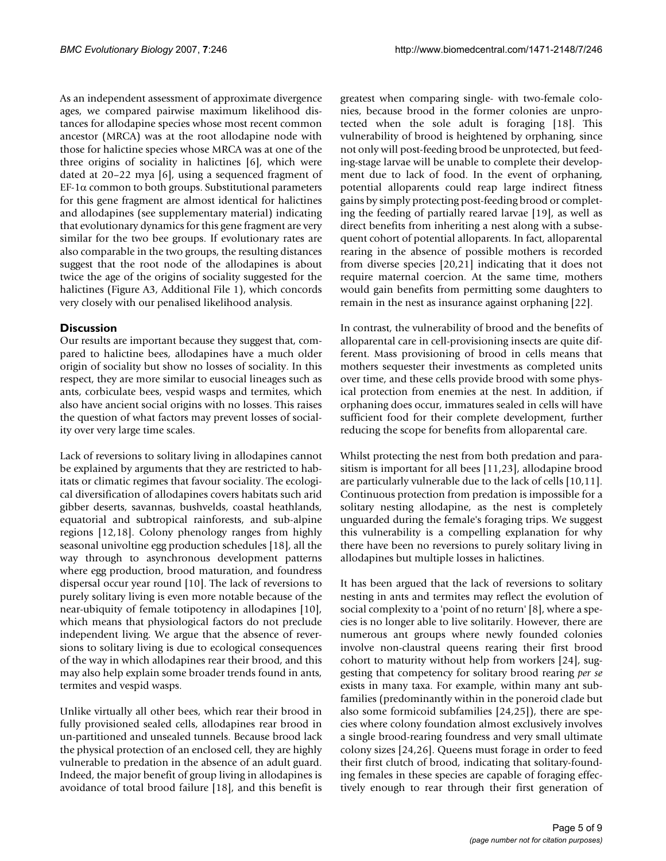As an independent assessment of approximate divergence ages, we compared pairwise maximum likelihood distances for allodapine species whose most recent common ancestor (MRCA) was at the root allodapine node with those for halictine species whose MRCA was at one of the three origins of sociality in halictines [6], which were dated at 20–22 mya [6], using a sequenced fragment of EF-1α common to both groups. Substitutional parameters for this gene fragment are almost identical for halictines and allodapines (see supplementary material) indicating that evolutionary dynamics for this gene fragment are very similar for the two bee groups. If evolutionary rates are also comparable in the two groups, the resulting distances suggest that the root node of the allodapines is about twice the age of the origins of sociality suggested for the halictines (Figure A3, Additional File 1), which concords very closely with our penalised likelihood analysis.

#### **Discussion**

Our results are important because they suggest that, compared to halictine bees, allodapines have a much older origin of sociality but show no losses of sociality. In this respect, they are more similar to eusocial lineages such as ants, corbiculate bees, vespid wasps and termites, which also have ancient social origins with no losses. This raises the question of what factors may prevent losses of sociality over very large time scales.

Lack of reversions to solitary living in allodapines cannot be explained by arguments that they are restricted to habitats or climatic regimes that favour sociality. The ecological diversification of allodapines covers habitats such arid gibber deserts, savannas, bushvelds, coastal heathlands, equatorial and subtropical rainforests, and sub-alpine regions [12,18]. Colony phenology ranges from highly seasonal univoltine egg production schedules [18], all the way through to asynchronous development patterns where egg production, brood maturation, and foundress dispersal occur year round [10]. The lack of reversions to purely solitary living is even more notable because of the near-ubiquity of female totipotency in allodapines [10], which means that physiological factors do not preclude independent living. We argue that the absence of reversions to solitary living is due to ecological consequences of the way in which allodapines rear their brood, and this may also help explain some broader trends found in ants, termites and vespid wasps.

Unlike virtually all other bees, which rear their brood in fully provisioned sealed cells, allodapines rear brood in un-partitioned and unsealed tunnels. Because brood lack the physical protection of an enclosed cell, they are highly vulnerable to predation in the absence of an adult guard. Indeed, the major benefit of group living in allodapines is avoidance of total brood failure [18], and this benefit is greatest when comparing single- with two-female colonies, because brood in the former colonies are unprotected when the sole adult is foraging [18]. This vulnerability of brood is heightened by orphaning, since not only will post-feeding brood be unprotected, but feeding-stage larvae will be unable to complete their development due to lack of food. In the event of orphaning, potential alloparents could reap large indirect fitness gains by simply protecting post-feeding brood or completing the feeding of partially reared larvae [19], as well as direct benefits from inheriting a nest along with a subsequent cohort of potential alloparents. In fact, alloparental rearing in the absence of possible mothers is recorded from diverse species [20,21] indicating that it does not require maternal coercion. At the same time, mothers would gain benefits from permitting some daughters to remain in the nest as insurance against orphaning [22].

In contrast, the vulnerability of brood and the benefits of alloparental care in cell-provisioning insects are quite different. Mass provisioning of brood in cells means that mothers sequester their investments as completed units over time, and these cells provide brood with some physical protection from enemies at the nest. In addition, if orphaning does occur, immatures sealed in cells will have sufficient food for their complete development, further reducing the scope for benefits from alloparental care.

Whilst protecting the nest from both predation and parasitism is important for all bees [11,23], allodapine brood are particularly vulnerable due to the lack of cells [10,11]. Continuous protection from predation is impossible for a solitary nesting allodapine, as the nest is completely unguarded during the female's foraging trips. We suggest this vulnerability is a compelling explanation for why there have been no reversions to purely solitary living in allodapines but multiple losses in halictines.

It has been argued that the lack of reversions to solitary nesting in ants and termites may reflect the evolution of social complexity to a 'point of no return' [8], where a species is no longer able to live solitarily. However, there are numerous ant groups where newly founded colonies involve non-claustral queens rearing their first brood cohort to maturity without help from workers [24], suggesting that competency for solitary brood rearing *per se* exists in many taxa. For example, within many ant subfamilies (predominantly within in the poneroid clade but also some formicoid subfamilies [24,25]), there are species where colony foundation almost exclusively involves a single brood-rearing foundress and very small ultimate colony sizes [24,26]. Queens must forage in order to feed their first clutch of brood, indicating that solitary-founding females in these species are capable of foraging effectively enough to rear through their first generation of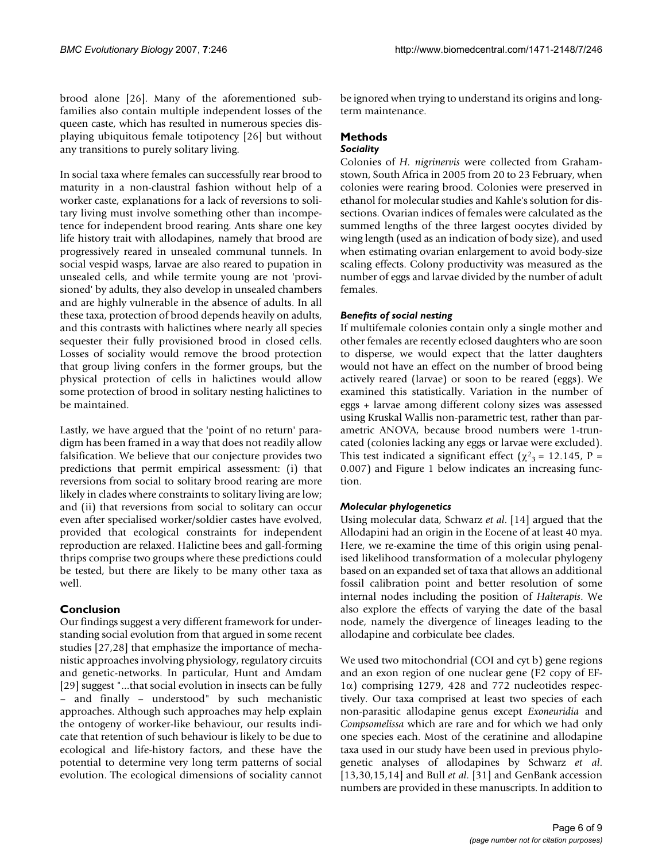brood alone [26]. Many of the aforementioned subfamilies also contain multiple independent losses of the queen caste, which has resulted in numerous species displaying ubiquitous female totipotency [26] but without any transitions to purely solitary living.

In social taxa where females can successfully rear brood to maturity in a non-claustral fashion without help of a worker caste, explanations for a lack of reversions to solitary living must involve something other than incompetence for independent brood rearing. Ants share one key life history trait with allodapines, namely that brood are progressively reared in unsealed communal tunnels. In social vespid wasps, larvae are also reared to pupation in unsealed cells, and while termite young are not 'provisioned' by adults, they also develop in unsealed chambers and are highly vulnerable in the absence of adults. In all these taxa, protection of brood depends heavily on adults, and this contrasts with halictines where nearly all species sequester their fully provisioned brood in closed cells. Losses of sociality would remove the brood protection that group living confers in the former groups, but the physical protection of cells in halictines would allow some protection of brood in solitary nesting halictines to be maintained.

Lastly, we have argued that the 'point of no return' paradigm has been framed in a way that does not readily allow falsification. We believe that our conjecture provides two predictions that permit empirical assessment: (i) that reversions from social to solitary brood rearing are more likely in clades where constraints to solitary living are low; and (ii) that reversions from social to solitary can occur even after specialised worker/soldier castes have evolved, provided that ecological constraints for independent reproduction are relaxed. Halictine bees and gall-forming thrips comprise two groups where these predictions could be tested, but there are likely to be many other taxa as well.

#### **Conclusion**

Our findings suggest a very different framework for understanding social evolution from that argued in some recent studies [27,28] that emphasize the importance of mechanistic approaches involving physiology, regulatory circuits and genetic-networks. In particular, Hunt and Amdam [29] suggest "...that social evolution in insects can be fully – and finally – understood" by such mechanistic approaches. Although such approaches may help explain the ontogeny of worker-like behaviour, our results indicate that retention of such behaviour is likely to be due to ecological and life-history factors, and these have the potential to determine very long term patterns of social evolution. The ecological dimensions of sociality cannot be ignored when trying to understand its origins and longterm maintenance.

### **Methods**

#### *Sociality*

Colonies of *H. nigrinervis* were collected from Grahamstown, South Africa in 2005 from 20 to 23 February, when colonies were rearing brood. Colonies were preserved in ethanol for molecular studies and Kahle's solution for dissections. Ovarian indices of females were calculated as the summed lengths of the three largest oocytes divided by wing length (used as an indication of body size), and used when estimating ovarian enlargement to avoid body-size scaling effects. Colony productivity was measured as the number of eggs and larvae divided by the number of adult females.

#### *Benefits of social nesting*

If multifemale colonies contain only a single mother and other females are recently eclosed daughters who are soon to disperse, we would expect that the latter daughters would not have an effect on the number of brood being actively reared (larvae) or soon to be reared (eggs). We examined this statistically. Variation in the number of eggs + larvae among different colony sizes was assessed using Kruskal Wallis non-parametric test, rather than parametric ANOVA, because brood numbers were 1-truncated (colonies lacking any eggs or larvae were excluded). This test indicated a significant effect ( $\chi^2$ <sub>3</sub> = 12.145, P = 0.007) and Figure 1 below indicates an increasing function.

#### *Molecular phylogenetics*

Using molecular data, Schwarz *et al*. [14] argued that the Allodapini had an origin in the Eocene of at least 40 mya. Here, we re-examine the time of this origin using penalised likelihood transformation of a molecular phylogeny based on an expanded set of taxa that allows an additional fossil calibration point and better resolution of some internal nodes including the position of *Halterapis*. We also explore the effects of varying the date of the basal node, namely the divergence of lineages leading to the allodapine and corbiculate bee clades.

We used two mitochondrial (COI and cyt b) gene regions and an exon region of one nuclear gene (F2 copy of EF- $1α$ ) comprising 1279, 428 and 772 nucleotides respectively. Our taxa comprised at least two species of each non-parasitic allodapine genus except *Exoneuridia* and *Compsomelissa* which are rare and for which we had only one species each. Most of the ceratinine and allodapine taxa used in our study have been used in previous phylogenetic analyses of allodapines by Schwarz *et al*. [13,30,15,14] and Bull *et al*. [31] and GenBank accession numbers are provided in these manuscripts. In addition to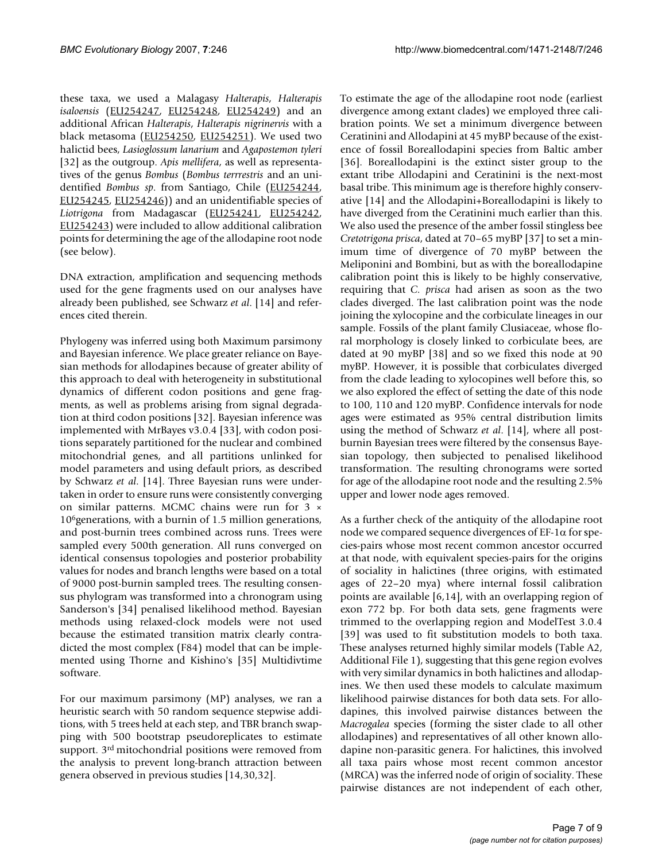these taxa, we used a Malagasy *Halterapis*, *Halterapis isaloensis* [\(EU254247,](http://www.ncbi.nih.gov/entrez/query.fcgi?db=Nucleotide&cmd=search&term=EU254247) [EU254248](http://www.ncbi.nih.gov/entrez/query.fcgi?db=Nucleotide&cmd=search&term=EU254248), [EU254249\)](http://www.ncbi.nih.gov/entrez/query.fcgi?db=Nucleotide&cmd=search&term=EU254249) and an additional African *Halterapis*, *Halterapis nigrinervis* with a black metasoma ([EU254250,](http://www.ncbi.nih.gov/entrez/query.fcgi?db=Nucleotide&cmd=search&term=EU254250) [EU254251](http://www.ncbi.nih.gov/entrez/query.fcgi?db=Nucleotide&cmd=search&term=EU254251)). We used two halictid bees, *Lasioglossum lanarium* and *Agapostemon tyleri* [32] as the outgroup. *Apis mellifera*, as well as representatives of the genus *Bombus* (*Bombus terrrestris* and an unidentified *Bombus sp*. from Santiago, Chile [\(EU254244,](http://www.ncbi.nih.gov/entrez/query.fcgi?db=Nucleotide&cmd=search&term=EU254244) [EU254245](http://www.ncbi.nih.gov/entrez/query.fcgi?db=Nucleotide&cmd=search&term=EU254245), [EU254246\)](http://www.ncbi.nih.gov/entrez/query.fcgi?db=Nucleotide&cmd=search&term=EU254246)) and an unidentifiable species of *Liotrigona* from Madagascar ([EU254241,](http://www.ncbi.nih.gov/entrez/query.fcgi?db=Nucleotide&cmd=search&term=EU254241) [EU254242,](http://www.ncbi.nih.gov/entrez/query.fcgi?db=Nucleotide&cmd=search&term=EU254242) [EU254243](http://www.ncbi.nih.gov/entrez/query.fcgi?db=Nucleotide&cmd=search&term=EU254243)) were included to allow additional calibration points for determining the age of the allodapine root node (see below).

DNA extraction, amplification and sequencing methods used for the gene fragments used on our analyses have already been published, see Schwarz *et al*. [14] and references cited therein.

Phylogeny was inferred using both Maximum parsimony and Bayesian inference. We place greater reliance on Bayesian methods for allodapines because of greater ability of this approach to deal with heterogeneity in substitutional dynamics of different codon positions and gene fragments, as well as problems arising from signal degradation at third codon positions [32]. Bayesian inference was implemented with MrBayes v3.0.4 [33], with codon positions separately partitioned for the nuclear and combined mitochondrial genes, and all partitions unlinked for model parameters and using default priors, as described by Schwarz *et al*. [14]. Three Bayesian runs were undertaken in order to ensure runs were consistently converging on similar patterns. MCMC chains were run for 3 × 106generations, with a burnin of 1.5 million generations, and post-burnin trees combined across runs. Trees were sampled every 500th generation. All runs converged on identical consensus topologies and posterior probability values for nodes and branch lengths were based on a total of 9000 post-burnin sampled trees. The resulting consensus phylogram was transformed into a chronogram using Sanderson's [34] penalised likelihood method. Bayesian methods using relaxed-clock models were not used because the estimated transition matrix clearly contradicted the most complex (F84) model that can be implemented using Thorne and Kishino's [35] Multidivtime software.

For our maximum parsimony (MP) analyses, we ran a heuristic search with 50 random sequence stepwise additions, with 5 trees held at each step, and TBR branch swapping with 500 bootstrap pseudoreplicates to estimate support. 3rd mitochondrial positions were removed from the analysis to prevent long-branch attraction between genera observed in previous studies [14,30,32].

To estimate the age of the allodapine root node (earliest divergence among extant clades) we employed three calibration points. We set a minimum divergence between Ceratinini and Allodapini at 45 myBP because of the existence of fossil Boreallodapini species from Baltic amber [36]. Boreallodapini is the extinct sister group to the extant tribe Allodapini and Ceratinini is the next-most basal tribe. This minimum age is therefore highly conservative [14] and the Allodapini+Boreallodapini is likely to have diverged from the Ceratinini much earlier than this. We also used the presence of the amber fossil stingless bee *Cretotrigona prisca*, dated at 70–65 myBP [37] to set a minimum time of divergence of 70 myBP between the Meliponini and Bombini, but as with the boreallodapine calibration point this is likely to be highly conservative, requiring that *C. prisca* had arisen as soon as the two clades diverged. The last calibration point was the node joining the xylocopine and the corbiculate lineages in our sample. Fossils of the plant family Clusiaceae, whose floral morphology is closely linked to corbiculate bees, are dated at 90 myBP [38] and so we fixed this node at 90 myBP. However, it is possible that corbiculates diverged from the clade leading to xylocopines well before this, so we also explored the effect of setting the date of this node to 100, 110 and 120 myBP. Confidence intervals for node ages were estimated as 95% central distribution limits using the method of Schwarz *et al*. [14], where all postburnin Bayesian trees were filtered by the consensus Bayesian topology, then subjected to penalised likelihood transformation. The resulting chronograms were sorted for age of the allodapine root node and the resulting 2.5% upper and lower node ages removed.

As a further check of the antiquity of the allodapine root node we compared sequence divergences of  $EF-1\alpha$  for species-pairs whose most recent common ancestor occurred at that node, with equivalent species-pairs for the origins of sociality in halictines (three origins, with estimated ages of 22–20 mya) where internal fossil calibration points are available [6,14], with an overlapping region of exon 772 bp. For both data sets, gene fragments were trimmed to the overlapping region and ModelTest 3.0.4 [39] was used to fit substitution models to both taxa. These analyses returned highly similar models (Table A2, Additional File 1), suggesting that this gene region evolves with very similar dynamics in both halictines and allodapines. We then used these models to calculate maximum likelihood pairwise distances for both data sets. For allodapines, this involved pairwise distances between the *Macrogalea* species (forming the sister clade to all other allodapines) and representatives of all other known allodapine non-parasitic genera. For halictines, this involved all taxa pairs whose most recent common ancestor (MRCA) was the inferred node of origin of sociality. These pairwise distances are not independent of each other,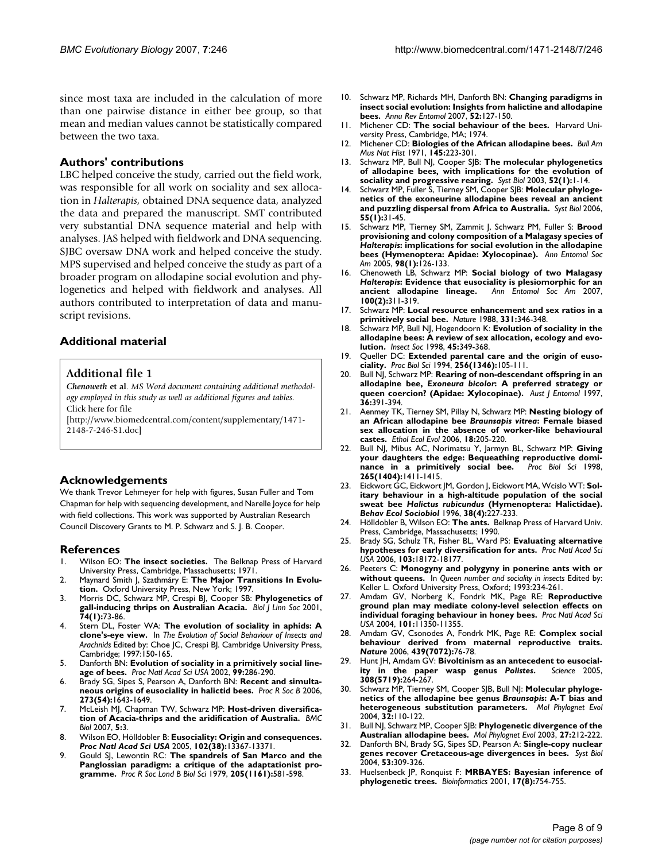since most taxa are included in the calculation of more than one pairwise distance in either bee group, so that mean and median values cannot be statistically compared between the two taxa.

#### **Authors' contributions**

LBC helped conceive the study, carried out the field work, was responsible for all work on sociality and sex allocation in *Halterapis*, obtained DNA sequence data, analyzed the data and prepared the manuscript. SMT contributed very substantial DNA sequence material and help with analyses. JAS helped with fieldwork and DNA sequencing. SJBC oversaw DNA work and helped conceive the study. MPS supervised and helped conceive the study as part of a broader program on allodapine social evolution and phylogenetics and helped with fieldwork and analyses. All authors contributed to interpretation of data and manuscript revisions.

### **Additional material**

#### **Additional file 1**

*Chenoweth* **et al***. MS Word document containing additional methodology employed in this study as well as additional figures and tables.* Click here for file

[\[http://www.biomedcentral.com/content/supplementary/1471-](http://www.biomedcentral.com/content/supplementary/1471-2148-7-246-S1.doc) 2148-7-246-S1.doc]

#### **Acknowledgements**

We thank Trevor Lehmeyer for help with figures, Susan Fuller and Tom Chapman for help with sequencing development, and Narelle Joyce for help with field collections. This work was supported by Australian Research Council Discovery Grants to M. P. Schwarz and S. J. B. Cooper.

#### **References**

- 1. Wilson EO: **The insect societies.** The Belknap Press of Harvard University Press, Cambridge, Massachusetts; 1971.
- 2. Maynard Smith J, Szathmáry E: **The Major Transitions In Evolution.** Oxford University Press, New York; 1997.
- 3. Morris DC, Schwarz MP, Crespi BJ, Cooper SB: **Phylogenetics of gall-inducing thrips on Australian Acacia.** *Biol J Linn Soc* 2001, **74(1):**73-86.
- 4. Stern DL, Foster WA: **The evolution of sociality in aphids: A clone's-eye view.** In *The Evolution of Social Behaviour of Insects and Arachnids* Edited by: Choe JC, Crespi BJ. Cambridge University Press, Cambridge; 1997:150-165.
- 5. Danforth BN: **[Evolution of sociality in a primitively social line](http://www.ncbi.nlm.nih.gov/entrez/query.fcgi?cmd=Retrieve&db=PubMed&dopt=Abstract&list_uids=11782550)[age of bees.](http://www.ncbi.nlm.nih.gov/entrez/query.fcgi?cmd=Retrieve&db=PubMed&dopt=Abstract&list_uids=11782550)** *Proc Natl Acad Sci USA* 2002, **99:**286-290.
- 6. Brady SG, Sipes S, Pearson A, Danforth BN: **[Recent and simulta](http://www.ncbi.nlm.nih.gov/entrez/query.fcgi?cmd=Retrieve&db=PubMed&dopt=Abstract&list_uids=16769636)[neous origins of eusociality in halictid bees.](http://www.ncbi.nlm.nih.gov/entrez/query.fcgi?cmd=Retrieve&db=PubMed&dopt=Abstract&list_uids=16769636)** *Proc R Soc B* 2006, **273(54):**1643-1649.
- 7. McLeish MJ, Chapman TW, Schwarz MP: **[Host-driven diversifica](http://www.ncbi.nlm.nih.gov/entrez/query.fcgi?cmd=Retrieve&db=PubMed&dopt=Abstract&list_uids=17257412)[tion of Acacia-thrips and the aridification of Australia.](http://www.ncbi.nlm.nih.gov/entrez/query.fcgi?cmd=Retrieve&db=PubMed&dopt=Abstract&list_uids=17257412)** *BMC Biol* 2007, **5:**3.
- 8. Wilson EO, Hölldobler B: **[Eusociality: Origin and consequences.](http://www.ncbi.nlm.nih.gov/entrez/query.fcgi?cmd=Retrieve&db=PubMed&dopt=Abstract&list_uids=16157878)** *Proc Natl Acad Sci USA* 2005, **102(38):**13367-13371.
- 9. Gould SJ, Lewontin RC: **[The spandrels of San Marco and the](http://www.ncbi.nlm.nih.gov/entrez/query.fcgi?cmd=Retrieve&db=PubMed&dopt=Abstract&list_uids=42062) [Panglossian paradigm: a critique of the adaptationist pro](http://www.ncbi.nlm.nih.gov/entrez/query.fcgi?cmd=Retrieve&db=PubMed&dopt=Abstract&list_uids=42062)[gramme.](http://www.ncbi.nlm.nih.gov/entrez/query.fcgi?cmd=Retrieve&db=PubMed&dopt=Abstract&list_uids=42062)** *Proc R Soc Lond B Biol Sci* 1979, **205(1161):**581-598.
- 10. Schwarz MP, Richards MH, Danforth BN: **[Changing paradigms in](http://www.ncbi.nlm.nih.gov/entrez/query.fcgi?cmd=Retrieve&db=PubMed&dopt=Abstract&list_uids=16866635) [insect social evolution: Insights from halictine and allodapine](http://www.ncbi.nlm.nih.gov/entrez/query.fcgi?cmd=Retrieve&db=PubMed&dopt=Abstract&list_uids=16866635) [bees.](http://www.ncbi.nlm.nih.gov/entrez/query.fcgi?cmd=Retrieve&db=PubMed&dopt=Abstract&list_uids=16866635)** *Annu Rev Entomol* 2007, **52:**127-150.
- 11. Michener CD: **The social behaviour of the bees.** Harvard University Press, Cambridge, MA; 1974.
- 12. Michener CD: **Biologies of the African allodapine bees.** *Bull Am Mus Nat Hist* 1971, **145:**223-301.
- 13. Schwarz MP, Bull NJ, Cooper SJB: **[The molecular phylogenetics](http://www.ncbi.nlm.nih.gov/entrez/query.fcgi?cmd=Retrieve&db=PubMed&dopt=Abstract&list_uids=12554435) [of allodapine bees, with implications for the evolution of](http://www.ncbi.nlm.nih.gov/entrez/query.fcgi?cmd=Retrieve&db=PubMed&dopt=Abstract&list_uids=12554435) [sociality and progressive rearing.](http://www.ncbi.nlm.nih.gov/entrez/query.fcgi?cmd=Retrieve&db=PubMed&dopt=Abstract&list_uids=12554435)** *Syst Biol* 2003, **52(1):**1-14.
- 14. Schwarz MP, Fuller S, Tierney SM, Cooper SJB: **[Molecular phyloge](http://www.ncbi.nlm.nih.gov/entrez/query.fcgi?cmd=Retrieve&db=PubMed&dopt=Abstract&list_uids=16507522)[netics of the exoneurine allodapine bees reveal an ancient](http://www.ncbi.nlm.nih.gov/entrez/query.fcgi?cmd=Retrieve&db=PubMed&dopt=Abstract&list_uids=16507522) [and puzzling dispersal from Africa to Australia.](http://www.ncbi.nlm.nih.gov/entrez/query.fcgi?cmd=Retrieve&db=PubMed&dopt=Abstract&list_uids=16507522)** *Syst Biol* 2006, **55(1):**31-45.
- 15. Schwarz MP, Tierney SM, Zammit J, Schwarz PM, Fuller S: **Brood provisioning and colony composition of a Malagasy species of** *Halterapis***: implications for social evolution in the allodapine bees (Hymenoptera: Apidae: Xylocopinae).** *Ann Entomol Soc Am* 2005, **98(1):**126-133.
- 16. Chenoweth LB, Schwarz MP: **Social biology of two Malagasy** *Halterapis***: Evidence that eusociality is plesiomorphic for an** ancient allodapine lineage. **100(2):**311-319.
- 17. Schwarz MP: **Local resource enhancement and sex ratios in a primitively social bee.** *Nature* 1988, **331:**346-348.
- 18. Schwarz MP, Bull NJ, Hogendoorn K: **Evolution of sociality in the allodapine bees: A review of sex allocation, ecology and evolution.** *Insect Soc* 1998, **45:**349-368.
- 19. Queller DC: **Extended parental care and the origin of eusociality.** *Proc Biol Sci* 1994, **256(1346):**105-111.
- 20. Bull NJ, Schwarz MP: **Rearing of non-descendant offspring in an allodapine bee,** *Exoneura bicolor***: A preferred strategy or queen coercion? (Apidae: Xylocopinae).** *Aust J Entomol* 1997, **36:**391-394.
- 21. Aenmey TK, Tierney SM, Pillay N, Schwarz MP: **Nesting biology of an African allodapine bee** *Braunsapis vitrea***: Female biased sex allocation in the absence of worker-like behavioural castes.** *Ethol Ecol Evol* 2006, **18:**205-220.
- 22. Bull NJ, Mibus AC, Norimatsu Y, Jarmyn BL, Schwarz MP: **Giving your daughters the edge: Bequeathing reproductive domi** $n$ ance in a primitively social bee. **265(1404):**1411-1415.
- 23. Eickwort GC, Eickwort JM, Gordon J, Eickwort MA, Wcislo WT: **Solitary behaviour in a high-altitude population of the social sweat bee** *Halictus rubicundus* **(Hymenoptera: Halictidae).** *Behav Ecol Sociobiol* 1996, **38(4):**227-233.
- 24. Hölldobler B, Wilson EO: **The ants.** Belknap Press of Harvard Univ. Press, Cambridge, Massachusetts; 1990.
- 25. Brady SG, Schulz TR, Fisher BL, Ward PS: **[Evaluating alternative](http://www.ncbi.nlm.nih.gov/entrez/query.fcgi?cmd=Retrieve&db=PubMed&dopt=Abstract&list_uids=17079492) [hypotheses for early diversification for ants.](http://www.ncbi.nlm.nih.gov/entrez/query.fcgi?cmd=Retrieve&db=PubMed&dopt=Abstract&list_uids=17079492)** *Proc Natl Acad Sci USA* 2006, **103:**18172-18177.
- 26. Peeters C: **Monogyny and polygyny in ponerine ants with or without queens.** In *Queen number and sociality in insects* Edited by: Keller L. Oxford University Press, Oxford; 1993:234-261.
- 27. Amdam GV, Norberg K, Fondrk MK, Page RE: **[Reproductive](http://www.ncbi.nlm.nih.gov/entrez/query.fcgi?cmd=Retrieve&db=PubMed&dopt=Abstract&list_uids=15277665) [ground plan may mediate colony-level selection effects on](http://www.ncbi.nlm.nih.gov/entrez/query.fcgi?cmd=Retrieve&db=PubMed&dopt=Abstract&list_uids=15277665) [individual foraging behaviour in honey bees.](http://www.ncbi.nlm.nih.gov/entrez/query.fcgi?cmd=Retrieve&db=PubMed&dopt=Abstract&list_uids=15277665)** *Proc Natl Acad Sci USA* 2004, **101:**11350-11355.
- 28. Amdam GV, Csonodes A, Fondrk MK, Page RE: **[Complex social](http://www.ncbi.nlm.nih.gov/entrez/query.fcgi?cmd=Retrieve&db=PubMed&dopt=Abstract&list_uids=16397498) [behaviour derived from maternal reproductive traits.](http://www.ncbi.nlm.nih.gov/entrez/query.fcgi?cmd=Retrieve&db=PubMed&dopt=Abstract&list_uids=16397498)** *Nature* 2006, **439(7072):**76-78.
- 29. Hunt JH, Amdam GV: **Bivoltinism as an antecedent to eusocial-**ity in the paper wasp genus Polistes[.](http://www.ncbi.nlm.nih.gov/entrez/query.fcgi?cmd=Retrieve&db=PubMed&dopt=Abstract&list_uids=15821094) **308(5719):**264-267.
- 30. Schwarz MP, Tierney SM, Cooper SJB, Bull NJ: **Molecular phylogenetics of the allodapine bee genus** *Braunsapis***: A-T bias and heterogeneous substitution parameters.** *Mol Phylognet Evol* 2004, **32:**110-122.
- 31. Bull NJ, Schwarz MP, Cooper SJB: **Phylogenetic divergence of the Australian allodapine bees.** *Mol Phylognet Evol* 2003, **27:**212-222.
- 32. Danforth BN, Brady SG, Sipes SD, Pearson A: **[Single-copy nuclear](http://www.ncbi.nlm.nih.gov/entrez/query.fcgi?cmd=Retrieve&db=PubMed&dopt=Abstract&list_uids=15205055) [genes recover Cretaceous-age divergences in bees.](http://www.ncbi.nlm.nih.gov/entrez/query.fcgi?cmd=Retrieve&db=PubMed&dopt=Abstract&list_uids=15205055)** *Syst Biol* 2004, **53:**309-326.
- 33. Huelsenbeck JP, Ronquist F: **[MRBAYES: Bayesian inference of](http://www.ncbi.nlm.nih.gov/entrez/query.fcgi?cmd=Retrieve&db=PubMed&dopt=Abstract&list_uids=11524383) [phylogenetic trees.](http://www.ncbi.nlm.nih.gov/entrez/query.fcgi?cmd=Retrieve&db=PubMed&dopt=Abstract&list_uids=11524383)** *Bioinformatics* 2001, **17(8):**754-755.